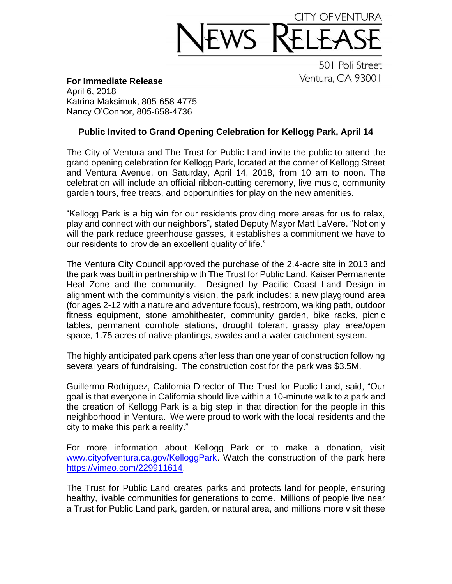## CITY OFVENTUR

501 Poli Street Ventura, CA 93001

**For Immediate Release** April 6, 2018

Katrina Maksimuk, 805-658-4775 Nancy O'Connor, 805-658-4736

## **Public Invited to Grand Opening Celebration for Kellogg Park, April 14**

The City of Ventura and The Trust for Public Land invite the public to attend the grand opening celebration for Kellogg Park, located at the corner of Kellogg Street and Ventura Avenue, on Saturday, April 14, 2018, from 10 am to noon. The celebration will include an official ribbon-cutting ceremony, live music, community garden tours, free treats, and opportunities for play on the new amenities.

"Kellogg Park is a big win for our residents providing more areas for us to relax, play and connect with our neighbors", stated Deputy Mayor Matt LaVere. "Not only will the park reduce greenhouse gasses, it establishes a commitment we have to our residents to provide an excellent quality of life."

The Ventura City Council approved the purchase of the 2.4-acre site in 2013 and the park was built in partnership with The Trust for Public Land, Kaiser Permanente Heal Zone and the community. Designed by Pacific Coast Land Design in alignment with the community's vision, the park includes: a new playground area (for ages 2-12 with a nature and adventure focus), restroom, walking path, outdoor fitness equipment, stone amphitheater, community garden, bike racks, picnic tables, permanent cornhole stations, drought tolerant grassy play area/open space, 1.75 acres of native plantings, swales and a water catchment system.

The highly anticipated park opens after less than one year of construction following several years of fundraising. The construction cost for the park was \$3.5M.

Guillermo Rodriguez, California Director of The Trust for Public Land, said, "Our goal is that everyone in California should live within a 10-minute walk to a park and the creation of Kellogg Park is a big step in that direction for the people in this neighborhood in Ventura. We were proud to work with the local residents and the city to make this park a reality."

For more information about Kellogg Park or to make a donation, visit [www.cityofventura.ca.gov/KelloggPark.](http://www.cityofventura.ca.gov/KelloggPark) Watch the construction of the park here [https://vimeo.com/229911614.](https://vimeo.com/229911614)

The Trust for Public Land creates parks and protects land for people, ensuring healthy, livable communities for generations to come. Millions of people live near a Trust for Public Land park, garden, or natural area, and millions more visit these